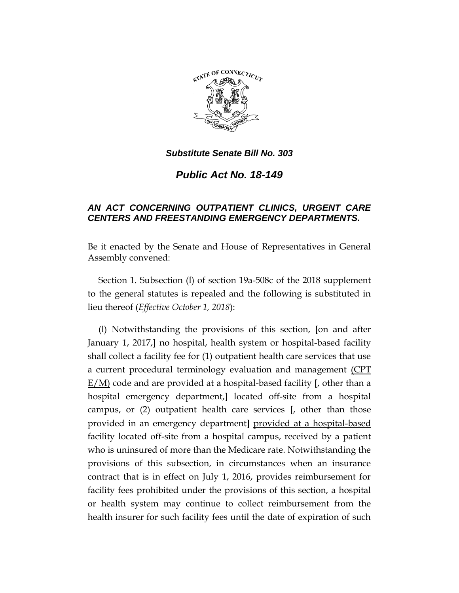

*Public Act No. 18-149*

## *AN ACT CONCERNING OUTPATIENT CLINICS, URGENT CARE CENTERS AND FREESTANDING EMERGENCY DEPARTMENTS.*

Be it enacted by the Senate and House of Representatives in General Assembly convened:

Section 1. Subsection (l) of section 19a-508c of the 2018 supplement to the general statutes is repealed and the following is substituted in lieu thereof (*Effective October 1, 2018*):

(l) Notwithstanding the provisions of this section, **[**on and after January 1, 2017,**]** no hospital, health system or hospital-based facility shall collect a facility fee for (1) outpatient health care services that use a current procedural terminology evaluation and management (CPT E/M) code and are provided at a hospital-based facility **[**, other than a hospital emergency department,**]** located off-site from a hospital campus, or (2) outpatient health care services **[**, other than those provided in an emergency department**]** provided at a hospital-based facility located off-site from a hospital campus, received by a patient who is uninsured of more than the Medicare rate. Notwithstanding the provisions of this subsection, in circumstances when an insurance contract that is in effect on July 1, 2016, provides reimbursement for facility fees prohibited under the provisions of this section, a hospital or health system may continue to collect reimbursement from the health insurer for such facility fees until the date of expiration of such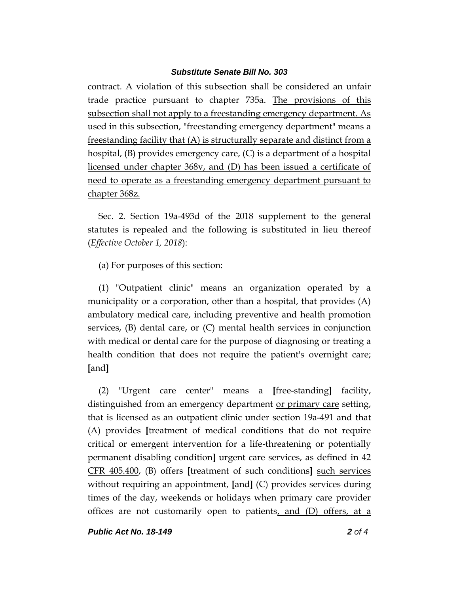contract. A violation of this subsection shall be considered an unfair trade practice pursuant to chapter 735a. The provisions of this subsection shall not apply to a freestanding emergency department. As used in this subsection, "freestanding emergency department" means a freestanding facility that (A) is structurally separate and distinct from a hospital, (B) provides emergency care, (C) is a department of a hospital licensed under chapter 368v, and (D) has been issued a certificate of need to operate as a freestanding emergency department pursuant to chapter 368z.

Sec. 2. Section 19a-493d of the 2018 supplement to the general statutes is repealed and the following is substituted in lieu thereof (*Effective October 1, 2018*):

(a) For purposes of this section:

(1) "Outpatient clinic" means an organization operated by a municipality or a corporation, other than a hospital, that provides (A) ambulatory medical care, including preventive and health promotion services, (B) dental care, or (C) mental health services in conjunction with medical or dental care for the purpose of diagnosing or treating a health condition that does not require the patient's overnight care; **[**and**]**

(2) "Urgent care center" means a **[**free-standing**]** facility, distinguished from an emergency department <u>or primary care</u> setting, that is licensed as an outpatient clinic under section 19a-491 and that (A) provides **[**treatment of medical conditions that do not require critical or emergent intervention for a life-threatening or potentially permanent disabling condition**]** urgent care services, as defined in 42 CFR 405.400, (B) offers **[**treatment of such conditions**]** such services without requiring an appointment, **[**and**]** (C) provides services during times of the day, weekends or holidays when primary care provider offices are not customarily open to patients, and (D) offers, at a

*Public Act No. 18-149 2 of 4*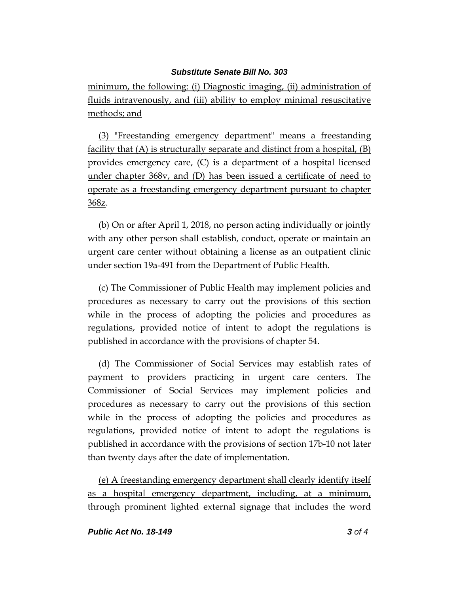minimum, the following: (i) Diagnostic imaging, (ii) administration of fluids intravenously, and (iii) ability to employ minimal resuscitative methods; and

(3) "Freestanding emergency department" means a freestanding facility that (A) is structurally separate and distinct from a hospital, (B) provides emergency care, (C) is a department of a hospital licensed under chapter 368v, and (D) has been issued a certificate of need to operate as a freestanding emergency department pursuant to chapter 368z.

(b) On or after April 1, 2018, no person acting individually or jointly with any other person shall establish, conduct, operate or maintain an urgent care center without obtaining a license as an outpatient clinic under section 19a-491 from the Department of Public Health.

(c) The Commissioner of Public Health may implement policies and procedures as necessary to carry out the provisions of this section while in the process of adopting the policies and procedures as regulations, provided notice of intent to adopt the regulations is published in accordance with the provisions of chapter 54.

(d) The Commissioner of Social Services may establish rates of payment to providers practicing in urgent care centers. The Commissioner of Social Services may implement policies and procedures as necessary to carry out the provisions of this section while in the process of adopting the policies and procedures as regulations, provided notice of intent to adopt the regulations is published in accordance with the provisions of section 17b-10 not later than twenty days after the date of implementation.

(e) A freestanding emergency department shall clearly identify itself as a hospital emergency department, including, at a minimum, through prominent lighted external signage that includes the word